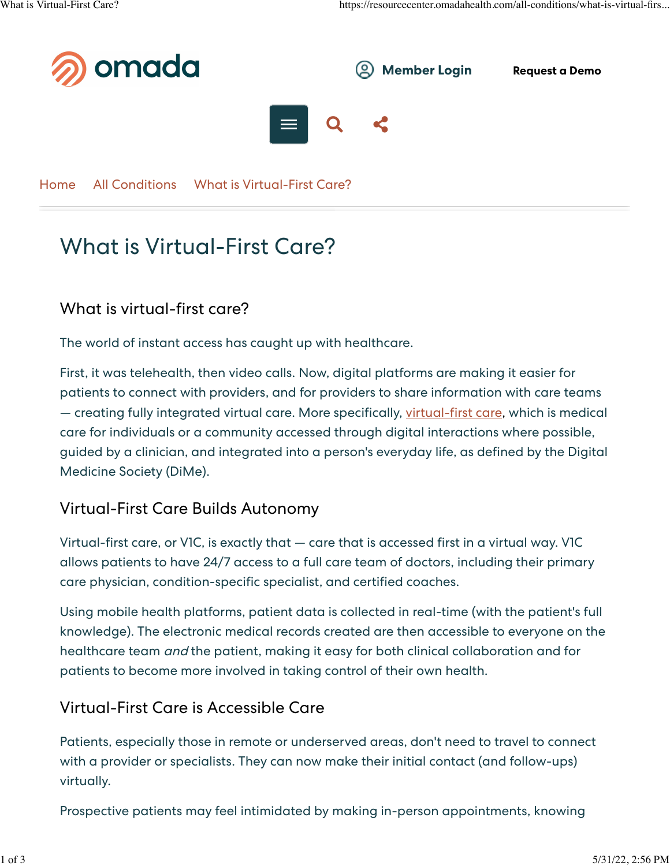

[Home](https://resourcecenter.omadahealth.com/) [All Conditions](https://resourcecenter.omadahealth.com/all-conditions) What is Virtual-First Care?

# What is Virtual-First Care?

### What is virtual-first care?

The world of instant access has caught up with healthcare.

First, it was telehealth, then video calls. Now, digital platforms are making it easier for patients to connect with providers, and for providers to share information with care teams — creating fully integrated virtual care. More specifically, [virtual-first care](https://impact.dimesociety.org/V1C/), which is medical care for individuals or a community accessed through digital interactions where possible, guided by a clinician, and integrated into a person's everyday life, as defined by the Digital Medicine Society (DiMe).

#### Virtual-First Care Builds Autonomy

Virtual-first care, or V1C, is exactly that — care that is accessed first in a virtual way. V1C allows patients to have 24/7 access to a full care team of doctors, including their primary care physician, condition-specific specialist, and certified coaches.

Using mobile health platforms, patient data is collected in real-time (with the patient's full knowledge). The electronic medical records created are then accessible to everyone on the healthcare team and the patient, making it easy for both clinical collaboration and for patients to become more involved in taking control of their own health.

#### Virtual-First Care is Accessible Care

Patients, especially those in remote or underserved areas, don't need to travel to connect with a provider or specialists. They can now make their initial contact (and follow-ups) virtually.

Prospective patients may feel intimidated by making in-person appointments, knowing